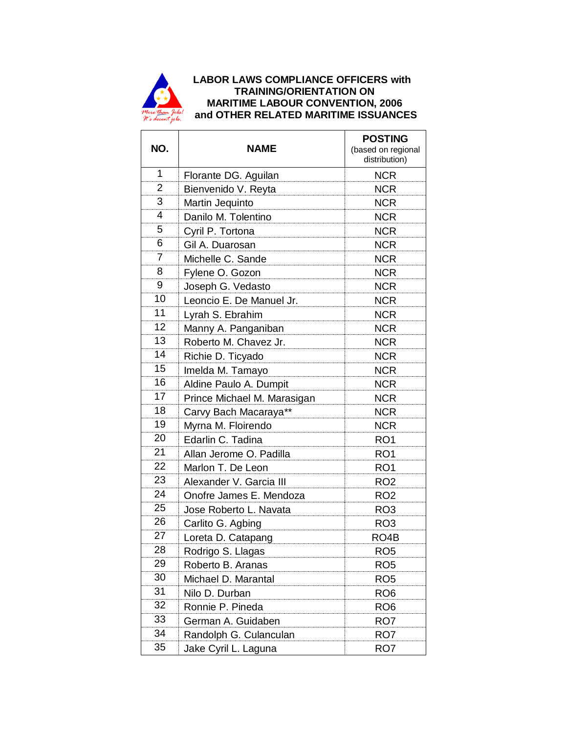

## **A** LABOR LAWS COMPLIANCE OFFICERS with  **TRAINING/ORIENTATION ON MARITIME LABOUR CONVENTION, 2006** *<b>ALL* and OTHER RELATED MARITIME ISSUANCES

| NO.             | <b>NAME</b>                 | <b>POSTING</b><br>(based on regional<br>distribution) |
|-----------------|-----------------------------|-------------------------------------------------------|
| 1               | Florante DG. Aguilan        | <b>NCR</b>                                            |
| 2               | Bienvenido V. Reyta         | <b>NCR</b>                                            |
| 3               | Martin Jequinto             | <b>NCR</b>                                            |
| 4               | Danilo M. Tolentino         | <b>NCR</b>                                            |
| 5               | Cyril P. Tortona            | <b>NCR</b>                                            |
| 6               | Gil A. Duarosan             | <b>NCR</b>                                            |
| 7               | Michelle C. Sande           | <b>NCR</b>                                            |
| 8               | Fylene O. Gozon             | <b>NCR</b>                                            |
| 9               | Joseph G. Vedasto           | <b>NCR</b>                                            |
| 10              | Leoncio E. De Manuel Jr.    | <b>NCR</b>                                            |
| 11              | Lyrah S. Ebrahim            | <b>NCR</b>                                            |
| 12              | Manny A. Panganiban         | <b>NCR</b>                                            |
| 13              | Roberto M. Chavez Jr.       | <b>NCR</b>                                            |
| 14              | Richie D. Ticyado           | <b>NCR</b>                                            |
| $\overline{15}$ | Imelda M. Tamayo            | <b>NCR</b>                                            |
| 16              | Aldine Paulo A. Dumpit      | <b>NCR</b>                                            |
| 17              | Prince Michael M. Marasigan | <b>NCR</b>                                            |
| 18              | Carvy Bach Macaraya**       | <b>NCR</b>                                            |
| 19              | Myrna M. Floirendo          | <b>NCR</b>                                            |
| 20              | Edarlin C. Tadina           | RO <sub>1</sub>                                       |
| 21              | Allan Jerome O. Padilla     | RO <sub>1</sub>                                       |
| 22              | Marlon T. De Leon           | RO <sub>1</sub>                                       |
| 23              | Alexander V. Garcia III     | RO <sub>2</sub>                                       |
| 24              | Onofre James E. Mendoza     | RO <sub>2</sub>                                       |
| 25              | Jose Roberto L. Navata      | RO <sub>3</sub>                                       |
| 26              | Carlito G. Agbing           | RO <sub>3</sub>                                       |
| 27              | Loreta D. Catapang          | RO <sub>4</sub> B                                     |
| 28              | Rodrigo S. Llagas           | RO <sub>5</sub>                                       |
| 29              | Roberto B. Aranas           | RO <sub>5</sub>                                       |
| 30              | Michael D. Marantal         | RO <sub>5</sub>                                       |
| 31              | Nilo D. Durban              | RO <sub>6</sub>                                       |
| 32              | Ronnie P. Pineda            | RO <sub>6</sub>                                       |
| 33              | German A. Guidaben          | RO <sub>7</sub>                                       |
| 34              | Randolph G. Culanculan      | RO7                                                   |
| 35              | Jake Cyril L. Laguna        | RO7                                                   |